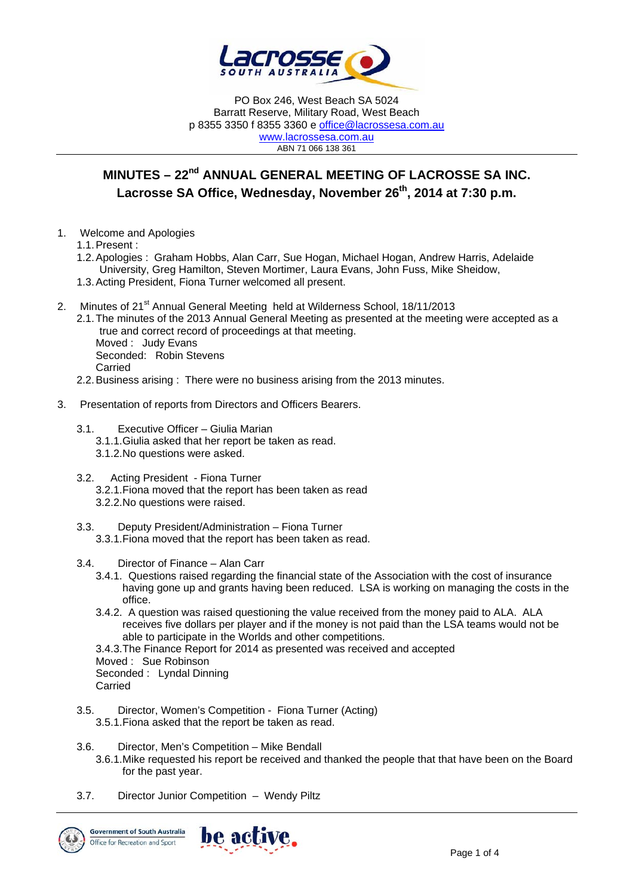

PO Box 246, West Beach SA 5024 Barratt Reserve, Military Road, West Beach p 8355 3350 f 8355 3360 e office@lacrossesa.com.au www.lacrossesa.com.au ABN 71 066 138 361

# **MINUTES – 22nd ANNUAL GENERAL MEETING OF LACROSSE SA INC.**  Lacrosse SA Office, Wednesday, November 26<sup>th</sup>, 2014 at 7:30 p.m.

1. Welcome and Apologies

1.1. Present :

- 1.2. Apologies : Graham Hobbs, Alan Carr, Sue Hogan, Michael Hogan, Andrew Harris, Adelaide University, Greg Hamilton, Steven Mortimer, Laura Evans, John Fuss, Mike Sheidow,
- 1.3. Acting President, Fiona Turner welcomed all present.
- 2. Minutes of 21<sup>st</sup> Annual General Meeting held at Wilderness School, 18/11/2013
	- 2.1. The minutes of the 2013 Annual General Meeting as presented at the meeting were accepted as a true and correct record of proceedings at that meeting. Moved : Judy Evans Seconded: Robin Stevens Carried
	- 2.2. Business arising : There were no business arising from the 2013 minutes.
- 3. Presentation of reports from Directors and Officers Bearers.
	- 3.1. Executive Officer Giulia Marian
		- 3.1.1. Giulia asked that her report be taken as read.
		- 3.1.2. No questions were asked.
	- 3.2. Acting President Fiona Turner 3.2.1. Fiona moved that the report has been taken as read 3.2.2. No questions were raised.
	- 3.3. Deputy President/Administration Fiona Turner 3.3.1. Fiona moved that the report has been taken as read.
	- 3.4. Director of Finance Alan Carr
		- 3.4.1. Questions raised regarding the financial state of the Association with the cost of insurance having gone up and grants having been reduced. LSA is working on managing the costs in the office.
		- 3.4.2. A question was raised questioning the value received from the money paid to ALA. ALA receives five dollars per player and if the money is not paid than the LSA teams would not be able to participate in the Worlds and other competitions.
		- 3.4.3. The Finance Report for 2014 as presented was received and accepted
		- Moved : Sue Robinson
		- Seconded : Lyndal Dinning
		- Carried
	- 3.5. Director, Women's Competition Fiona Turner (Acting) 3.5.1. Fiona asked that the report be taken as read.
	- 3.6. Director, Men's Competition Mike Bendall
		- 3.6.1. Mike requested his report be received and thanked the people that that have been on the Board for the past year.
	- 3.7. Director Junior Competition Wendy Piltz

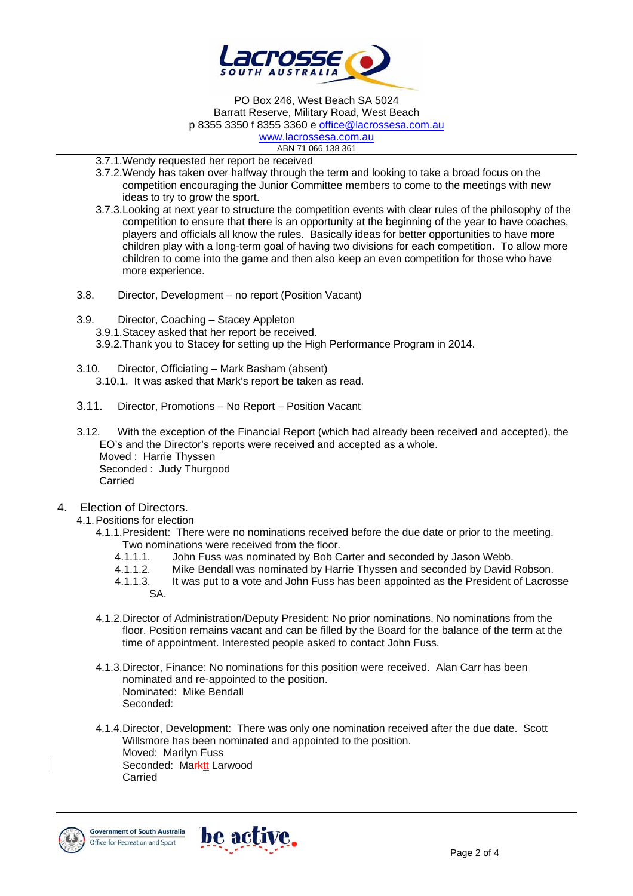

PO Box 246, West Beach SA 5024 Barratt Reserve, Military Road, West Beach p 8355 3350 f 8355 3360 e office@lacrossesa.com.au

www.lacrossesa.com.au ABN 71 066 138 361

3.7.1. Wendy requested her report be received

- 3.7.2. Wendy has taken over halfway through the term and looking to take a broad focus on the competition encouraging the Junior Committee members to come to the meetings with new ideas to try to grow the sport.
- 3.7.3. Looking at next year to structure the competition events with clear rules of the philosophy of the competition to ensure that there is an opportunity at the beginning of the year to have coaches, players and officials all know the rules. Basically ideas for better opportunities to have more children play with a long-term goal of having two divisions for each competition. To allow more children to come into the game and then also keep an even competition for those who have more experience.
- 3.8. Director, Development no report (Position Vacant)
- 3.9. Director, Coaching Stacey Appleton 3.9.1. Stacey asked that her report be received. 3.9.2. Thank you to Stacey for setting up the High Performance Program in 2014.
- 3.10. Director, Officiating Mark Basham (absent) 3.10.1. It was asked that Mark's report be taken as read.
- 3.11. Director, Promotions No Report Position Vacant
- 3.12. With the exception of the Financial Report (which had already been received and accepted), the EO's and the Director's reports were received and accepted as a whole. Moved : Harrie Thyssen Seconded : Judy Thurgood Carried
- 4. Election of Directors.
	- 4.1. Positions for election
		- 4.1.1. President: There were no nominations received before the due date or prior to the meeting. Two nominations were received from the floor.
			- 4.1.1.1. John Fuss was nominated by Bob Carter and seconded by Jason Webb.
			- 4.1.1.2. Mike Bendall was nominated by Harrie Thyssen and seconded by David Robson.
			- 4.1.1.3. It was put to a vote and John Fuss has been appointed as the President of Lacrosse SA.
		- 4.1.2. Director of Administration/Deputy President: No prior nominations. No nominations from the floor. Position remains vacant and can be filled by the Board for the balance of the term at the time of appointment. Interested people asked to contact John Fuss.
		- 4.1.3. Director, Finance: No nominations for this position were received. Alan Carr has been nominated and re-appointed to the position. Nominated: Mike Bendall Seconded:
		- 4.1.4. Director, Development: There was only one nomination received after the due date. Scott Willsmore has been nominated and appointed to the position. Moved: Marilyn Fuss Seconded: Marktt Larwood Carried



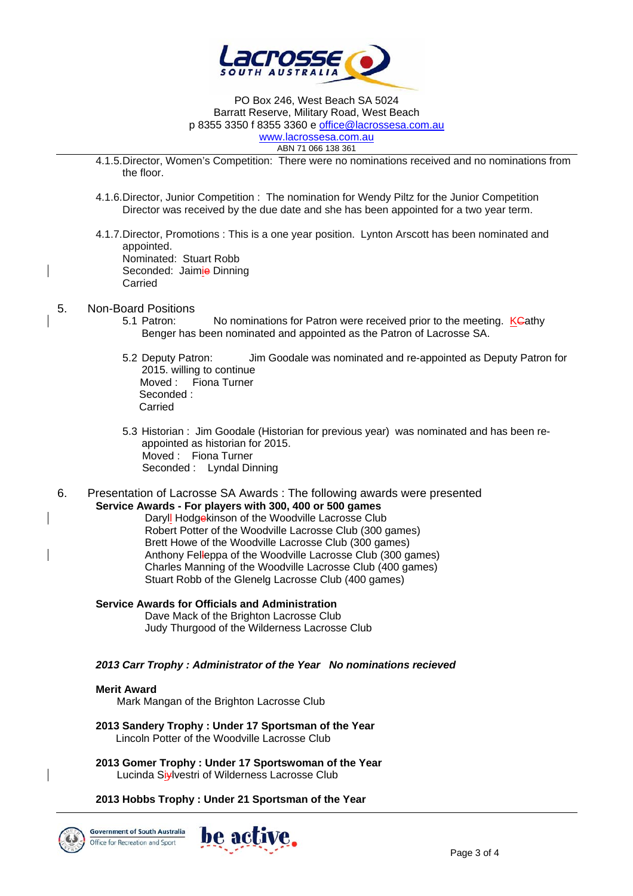

PO Box 246, West Beach SA 5024 Barratt Reserve, Military Road, West Beach p 8355 3350 f 8355 3360 e office@lacrossesa.com.au www.lacrossesa.com.au

ABN 71 066 138 361

- 4.1.5. Director, Women's Competition: There were no nominations received and no nominations from the floor.
- 4.1.6. Director, Junior Competition : The nomination for Wendy Piltz for the Junior Competition Director was received by the due date and she has been appointed for a two year term.
- 4.1.7. Director, Promotions : This is a one year position. Lynton Arscott has been nominated and appointed.

Nominated: Stuart Robb Seconded: Jaimie Dinning Carried

# 5. Non-Board Positions

- No nominations for Patron were received prior to the meeting. KCathy Benger has been nominated and appointed as the Patron of Lacrosse SA.
- 5.2 Deputy Patron: Jim Goodale was nominated and re-appointed as Deputy Patron for 2015. willing to continue Moved : Fiona Turner Seconded : Carried
- 5.3 Historian : Jim Goodale (Historian for previous year) was nominated and has been reappointed as historian for 2015. Moved : Fiona Turner Seconded : Lyndal Dinning
- 6. Presentation of Lacrosse SA Awards : The following awards were presented **Service Awards - For players with 300, 400 or 500 games**

Daryll Hodgekinson of the Woodville Lacrosse Club Robert Potter of the Woodville Lacrosse Club (300 games) Brett Howe of the Woodville Lacrosse Club (300 games) Anthony Felleppa of the Woodville Lacrosse Club (300 games) Charles Manning of the Woodville Lacrosse Club (400 games) Stuart Robb of the Glenelg Lacrosse Club (400 games)

**Service Awards for Officials and Administration**  Dave Mack of the Brighton Lacrosse Club Judy Thurgood of the Wilderness Lacrosse Club

#### *2013 Carr Trophy : Administrator of the Year No nominations recieved*

#### **Merit Award**

Mark Mangan of the Brighton Lacrosse Club

- **2013 Sandery Trophy : Under 17 Sportsman of the Year**  Lincoln Potter of the Woodville Lacrosse Club
- **2013 Gomer Trophy : Under 17 Sportswoman of the Year**  Lucinda Siylvestri of Wilderness Lacrosse Club

## **2013 Hobbs Trophy : Under 21 Sportsman of the Year**